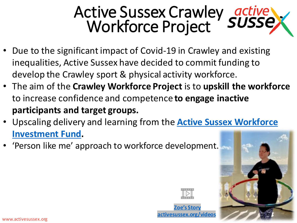## Active Sussex Crawley Workforce Project

- Due to the significant impact of Covid-19 in Crawley and existing inequalities, Active Sussex have decided to commit funding to develop the Crawley sport & physical activity workforce.
- The aim of the **Crawley Workforce Project** is to **upskill the workforce**  to increase confidence and competence **to engage inactive participants and target groups.**
- [Upscaling delivery and learning from the](https://www.activesussex.org/funding-insight/insight/workforce/) **Active Sussex Workforce Investment Fund.**
- 'Person like me' approach to workforce development.



**[Zoe's Story](https://www.youtube.com/watch?v=0RoYVBkGQjg) [activesussex.org/videos](https://www.youtube.com/watch?v=0RoYVBkGQjg)**

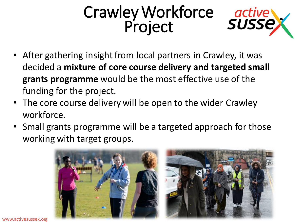## Crawley Workforce Project



- After gathering insight from local partners in Crawley, it was decided a **mixture of core course delivery and targeted small grants programme** would be the most effective use of the funding for the project.
- The core course delivery will be open to the wider Crawley workforce.
- Small grants programme will be a targeted approach for those working with target groups.



www.activesussex.org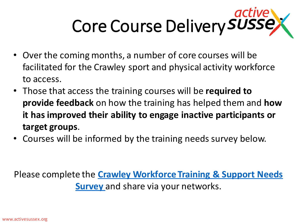# Core Course Delivery SUSSE

- Over the coming months, a number of core courses will be facilitated for the Crawley sport and physical activity workforce to access.
- Those that access the training courses will be **required to provide feedback** on how the training has helped them and **how it has improved their ability to engage inactive participants or target groups**.
- Courses will be informed by the training needs survey below.

Please complete the **[Crawley Workforce Training & Support Needs](https://www.surveymonkey.com/r/D9QSJ82)  Survey** and share via your networks.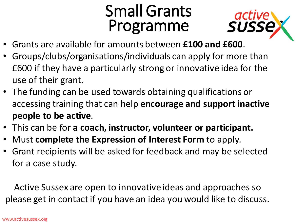### Small Grants Programme



- Grants are available for amounts between **£100 and £600**.
- Groups/clubs/organisations/individuals can apply for more than £600 if they have a particularly strong or innovative idea for the use of their grant.
- The funding can be used towards obtaining qualifications or accessing training that can help **encourage and support inactive people to be active**.
- This can be for **a coach, instructor, volunteer or participant.**
- Must **complete the Expression of Interest Form** to apply.
- Grant recipients will be asked for feedback and may be selected for a case study.

Active Sussex are open to innovative ideas and approaches so please get in contact if you have an idea you would like to discuss.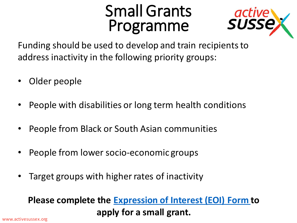#### Small Grants Programme



Funding should be used to develop and train recipients to address inactivity in the following priority groups:

- Older people
- People with disabilities or long term health conditions
- People from Black or South Asian communities
- People from lower socio-economic groups
- Target groups with higher rates of inactivity

#### **Please complete the [Expression of Interest \(EOI\) Form t](https://www.surveymonkey.co.uk/r/VGNRNMJ)o apply for a small grant.**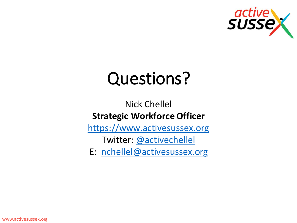

# Questions?

#### Nick Chellel **Strategic Workforce Officer**

[https://www.activesussex.org](https://www.activesussex.org/)

Twitter: [@activechellel](https://twitter.com/activechellel)

E: [nchellel@activesussex.org](mailto:nchellel@activesussex.org)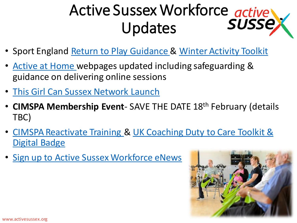# Active Sussex Workforce active Updates

- Sport England [Return to Play Guidance](https://www.sportengland.org/how-we-can-help/coronavirus/return-play) & [Winter Activity Toolkit](https://www.sportengland.org/how-we-can-help/coronavirus/return-play/autumn-and-winter-activity-toolkit)
- [Active at Home w](https://www.activesussex.org/activeathome/)ebpages updated including safeguarding & guidance on delivering online sessions
- [This Girl Can Sussex Network Launch](https://www.activesussex.org/get-active/girl-can/this-girl-can-overview/)
- **CIMSPA Membership Event** SAVE THE DATE 18th February (details TBC)
- [CIMSPA Reactivate Training & UK Coaching Duty to Care Toolkit &](https://www.ukcoaching.org/duty-to-care)  Digital Badge
- [Sign up to Active Sussex Workforce eNews](https://www.activesussex.org/newsletter/)